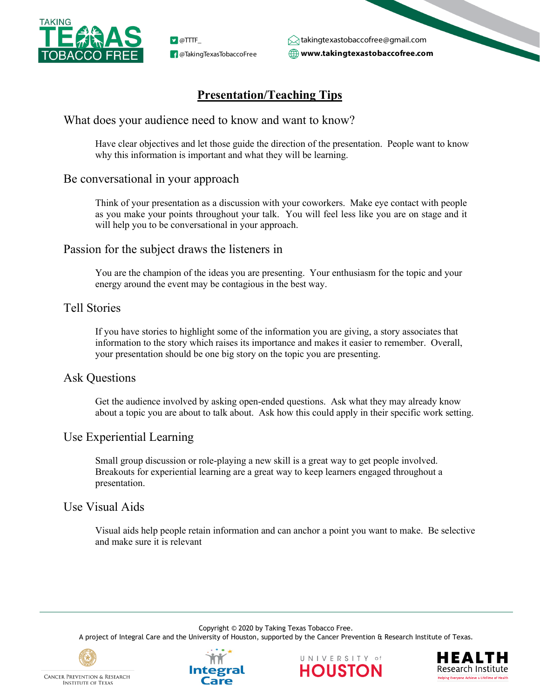

**B** @TakingTexasTobaccoFree

**www.takingtexastobaccofree.com D** @TTTF\_ takingtexastobaccofree@gmail.com

# **Presentation/Teaching Tips**

### What does your audience need to know and want to know?

Have clear objectives and let those guide the direction of the presentation. People want to know why this information is important and what they will be learning.

### Be conversational in your approach

Think of your presentation as a discussion with your coworkers. Make eye contact with people as you make your points throughout your talk. You will feel less like you are on stage and it will help you to be conversational in your approach.

### Passion for the subject draws the listeners in

You are the champion of the ideas you are presenting. Your enthusiasm for the topic and your energy around the event may be contagious in the best way.

#### Tell Stories

If you have stories to highlight some of the information you are giving, a story associates that information to the story which raises its importance and makes it easier to remember. Overall, your presentation should be one big story on the topic you are presenting.

### Ask Questions

Get the audience involved by asking open-ended questions. Ask what they may already know about a topic you are about to talk about. Ask how this could apply in their specific work setting.

#### Use Experiential Learning

Small group discussion or role-playing a new skill is a great way to get people involved. Breakouts for experiential learning are a great way to keep learners engaged throughout a presentation.

#### Use Visual Aids

Visual aids help people retain information and can anchor a point you want to make. Be selective and make sure it is relevant

Copyright © 2020 by Taking Texas Tobacco Free.

A project of Integral Care and the University of Houston, supported by the Cancer Prevention & Research Institute of Texas.